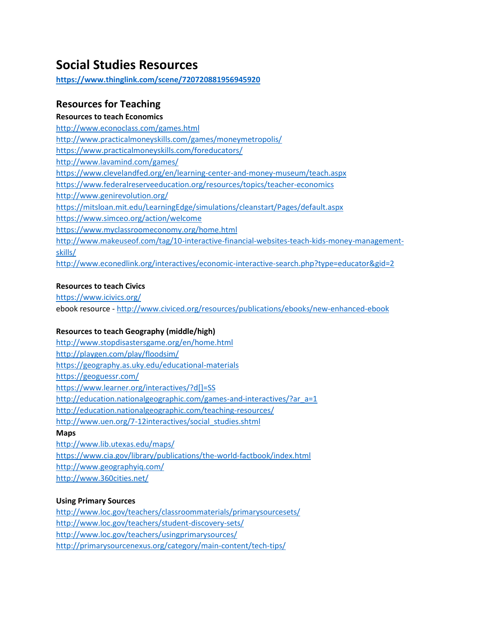# **Social Studies Resources**

**<https://www.thinglink.com/scene/720720881956945920>**

# **Resources for Teaching**

**Resources to teach Economics**  <http://www.econoclass.com/games.html> <http://www.practicalmoneyskills.com/games/moneymetropolis/> <https://www.practicalmoneyskills.com/foreducators/> <http://www.lavamind.com/games/> <https://www.clevelandfed.org/en/learning-center-and-money-museum/teach.aspx> <https://www.federalreserveeducation.org/resources/topics/teacher-economics> <http://www.genirevolution.org/> <https://mitsloan.mit.edu/LearningEdge/simulations/cleanstart/Pages/default.aspx> <https://www.simceo.org/action/welcome> <https://www.myclassroomeconomy.org/home.html> [http://www.makeuseof.com/tag/10-interactive-financial-websites-teach-kids-money-management](http://www.makeuseof.com/tag/10-interactive-financial-websites-teach-kids-money-management-skills/)[skills/](http://www.makeuseof.com/tag/10-interactive-financial-websites-teach-kids-money-management-skills/) <http://www.econedlink.org/interactives/economic-interactive-search.php?type=educator&gid=2>

### **Resources to teach Civics**

<https://www.icivics.org/> ebook resource - <http://www.civiced.org/resources/publications/ebooks/new-enhanced-ebook>

### **Resources to teach Geography (middle/high)**

<http://www.stopdisastersgame.org/en/home.html> <http://playgen.com/play/floodsim/> <https://geography.as.uky.edu/educational-materials> <https://geoguessr.com/> [https://www.learner.org/interactives/?d\[\]=SS](https://www.learner.org/interactives/?d%5b%5d=SS) [http://education.nationalgeographic.com/games-and-interactives/?ar\\_a=1](http://education.nationalgeographic.com/games-and-interactives/?ar_a=1) <http://education.nationalgeographic.com/teaching-resources/> [http://www.uen.org/7-12interactives/social\\_studies.shtml](http://www.uen.org/7-12interactives/social_studies.shtml)

**Maps**

<http://www.lib.utexas.edu/maps/> <https://www.cia.gov/library/publications/the-world-factbook/index.html> <http://www.geographyiq.com/> <http://www.360cities.net/>

### **Using Primary Sources**

<http://www.loc.gov/teachers/classroommaterials/primarysourcesets/> <http://www.loc.gov/teachers/student-discovery-sets/> <http://www.loc.gov/teachers/usingprimarysources/> <http://primarysourcenexus.org/category/main-content/tech-tips/>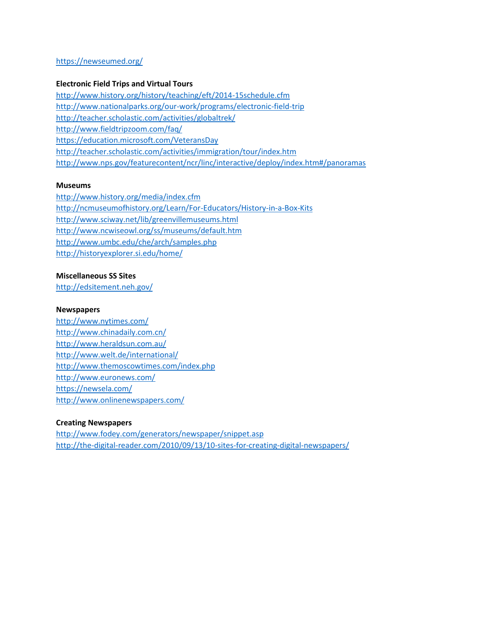### <https://newseumed.org/>

### **Electronic Field Trips and Virtual Tours**

<http://www.history.org/history/teaching/eft/2014-15schedule.cfm> <http://www.nationalparks.org/our-work/programs/electronic-field-trip> <http://teacher.scholastic.com/activities/globaltrek/> <http://www.fieldtripzoom.com/faq/> <https://education.microsoft.com/VeteransDay> <http://teacher.scholastic.com/activities/immigration/tour/index.htm> <http://www.nps.gov/featurecontent/ncr/linc/interactive/deploy/index.htm#/panoramas>

#### **Museums**

<http://www.history.org/media/index.cfm> <http://ncmuseumofhistory.org/Learn/For-Educators/History-in-a-Box-Kits> <http://www.sciway.net/lib/greenvillemuseums.html> <http://www.ncwiseowl.org/ss/museums/default.htm> <http://www.umbc.edu/che/arch/samples.php> <http://historyexplorer.si.edu/home/>

### **Miscellaneous SS Sites**

<http://edsitement.neh.gov/>

#### **Newspapers**

<http://www.nytimes.com/> <http://www.chinadaily.com.cn/> <http://www.heraldsun.com.au/> <http://www.welt.de/international/> <http://www.themoscowtimes.com/index.php> <http://www.euronews.com/> <https://newsela.com/> <http://www.onlinenewspapers.com/>

### **Creating Newspapers**

<http://www.fodey.com/generators/newspaper/snippet.asp> <http://the-digital-reader.com/2010/09/13/10-sites-for-creating-digital-newspapers/>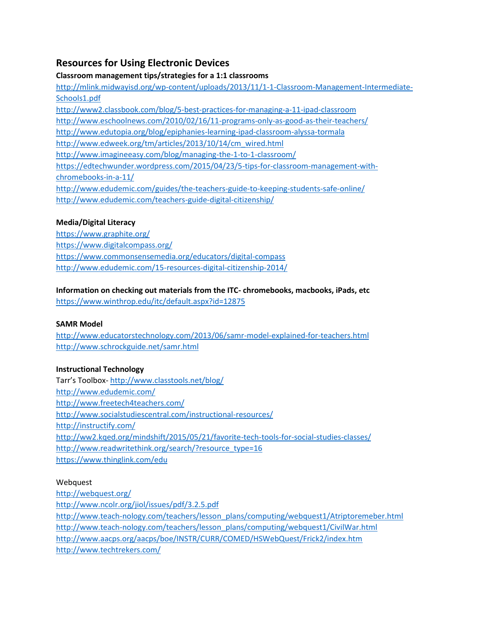# **Resources for Using Electronic Devices**

**Classroom management tips/strategies for a 1:1 classrooms**

[http://mlink.midwayisd.org/wp-content/uploads/2013/11/1-1-Classroom-Management-Intermediate-](http://mlink.midwayisd.org/wp-content/uploads/2013/11/1-1-Classroom-Management-Intermediate-Schools1.pdf)[Schools1.pdf](http://mlink.midwayisd.org/wp-content/uploads/2013/11/1-1-Classroom-Management-Intermediate-Schools1.pdf) <http://www2.classbook.com/blog/5-best-practices-for-managing-a-11-ipad-classroom> <http://www.eschoolnews.com/2010/02/16/11-programs-only-as-good-as-their-teachers/> <http://www.edutopia.org/blog/epiphanies-learning-ipad-classroom-alyssa-tormala> [http://www.edweek.org/tm/articles/2013/10/14/cm\\_wired.html](http://www.edweek.org/tm/articles/2013/10/14/cm_wired.html) <http://www.imagineeasy.com/blog/managing-the-1-to-1-classroom/> [https://edtechwunder.wordpress.com/2015/04/23/5-tips-for-classroom-management-with](https://edtechwunder.wordpress.com/2015/04/23/5-tips-for-classroom-management-with-chromebooks-in-a-11/)[chromebooks-in-a-11/](https://edtechwunder.wordpress.com/2015/04/23/5-tips-for-classroom-management-with-chromebooks-in-a-11/) <http://www.edudemic.com/guides/the-teachers-guide-to-keeping-students-safe-online/> <http://www.edudemic.com/teachers-guide-digital-citizenship/>

### **Media/Digital Literacy**

<https://www.graphite.org/> <https://www.digitalcompass.org/> <https://www.commonsensemedia.org/educators/digital-compass> <http://www.edudemic.com/15-resources-digital-citizenship-2014/>

# **Information on checking out materials from the ITC- chromebooks, macbooks, iPads, etc**

<https://www.winthrop.edu/itc/default.aspx?id=12875>

### **SAMR Model**

<http://www.educatorstechnology.com/2013/06/samr-model-explained-for-teachers.html> <http://www.schrockguide.net/samr.html>

## **Instructional Technology**

Tarr's Toolbox- <http://www.classtools.net/blog/> <http://www.edudemic.com/> <http://www.freetech4teachers.com/> <http://www.socialstudiescentral.com/instructional-resources/> <http://instructify.com/> <http://ww2.kqed.org/mindshift/2015/05/21/favorite-tech-tools-for-social-studies-classes/> [http://www.readwritethink.org/search/?resource\\_type=16](http://www.readwritethink.org/search/?resource_type=16) <https://www.thinglink.com/edu>

### Webquest

<http://webquest.org/> <http://www.ncolr.org/jiol/issues/pdf/3.2.5.pdf> [http://www.teach-nology.com/teachers/lesson\\_plans/computing/webquest1/Atriptoremeber.html](http://www.teach-nology.com/teachers/lesson_plans/computing/webquest1/Atriptoremeber.html) [http://www.teach-nology.com/teachers/lesson\\_plans/computing/webquest1/CivilWar.html](http://www.teach-nology.com/teachers/lesson_plans/computing/webquest1/CivilWar.html) <http://www.aacps.org/aacps/boe/INSTR/CURR/COMED/HSWebQuest/Frick2/index.htm> <http://www.techtrekers.com/>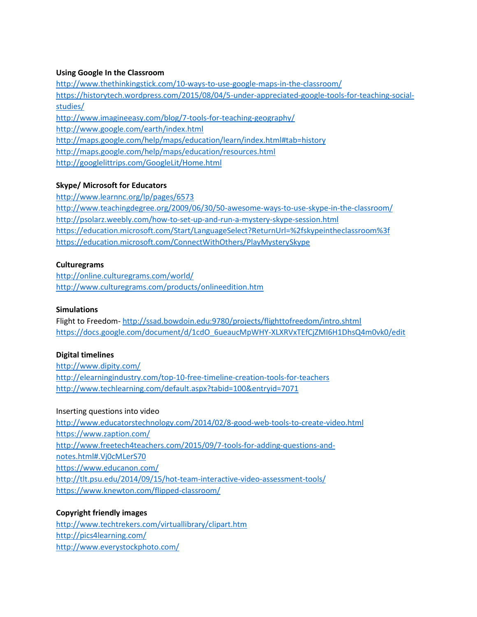### **Using Google In the Classroom**

<http://www.thethinkingstick.com/10-ways-to-use-google-maps-in-the-classroom/> [https://historytech.wordpress.com/2015/08/04/5-under-appreciated-google-tools-for-teaching-social](https://historytech.wordpress.com/2015/08/04/5-under-appreciated-google-tools-for-teaching-social-studies/)[studies/](https://historytech.wordpress.com/2015/08/04/5-under-appreciated-google-tools-for-teaching-social-studies/) <http://www.imagineeasy.com/blog/7-tools-for-teaching-geography/> <http://www.google.com/earth/index.html> <http://maps.google.com/help/maps/education/learn/index.html#tab=history> <http://maps.google.com/help/maps/education/resources.html> <http://googlelittrips.com/GoogleLit/Home.html>

### **Skype/ Microsoft for Educators**

<http://www.learnnc.org/lp/pages/6573> <http://www.teachingdegree.org/2009/06/30/50-awesome-ways-to-use-skype-in-the-classroom/> <http://psolarz.weebly.com/how-to-set-up-and-run-a-mystery-skype-session.html> <https://education.microsoft.com/Start/LanguageSelect?ReturnUrl=%2fskypeintheclassroom%3f> <https://education.microsoft.com/ConnectWithOthers/PlayMysterySkype>

### **Culturegrams**

<http://online.culturegrams.com/world/> <http://www.culturegrams.com/products/onlineedition.htm>

### **Simulations**

Flight to Freedom- <http://ssad.bowdoin.edu:9780/projects/flighttofreedom/intro.shtml> [https://docs.google.com/document/d/1cdO\\_6ueaucMpWHY-XLXRVxTEfCjZMI6H1DhsQ4m0vk0/edit](https://docs.google.com/document/d/1cdO_6ueaucMpWHY-XLXRVxTEfCjZMI6H1DhsQ4m0vk0/edit)

### **Digital timelines**

<http://www.dipity.com/> <http://elearningindustry.com/top-10-free-timeline-creation-tools-for-teachers> <http://www.techlearning.com/default.aspx?tabid=100&entryid=7071>

Inserting questions into video <http://www.educatorstechnology.com/2014/02/8-good-web-tools-to-create-video.html> <https://www.zaption.com/> [http://www.freetech4teachers.com/2015/09/7-tools-for-adding-questions-and](http://www.freetech4teachers.com/2015/09/7-tools-for-adding-questions-and-notes.html#.Vj0cMLerS70)[notes.html#.Vj0cMLerS70](http://www.freetech4teachers.com/2015/09/7-tools-for-adding-questions-and-notes.html#.Vj0cMLerS70) <https://www.educanon.com/> <http://tlt.psu.edu/2014/09/15/hot-team-interactive-video-assessment-tools/> <https://www.knewton.com/flipped-classroom/>

### **Copyright friendly images**

<http://www.techtrekers.com/virtuallibrary/clipart.htm> <http://pics4learning.com/> <http://www.everystockphoto.com/>